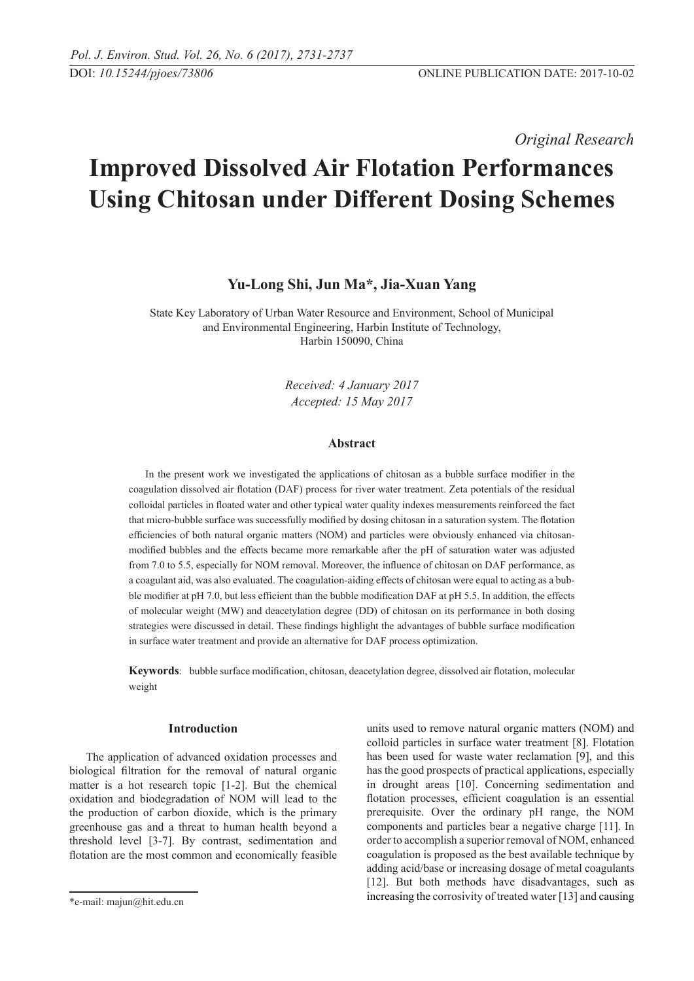*Original Research* 

# **Improved Dissolved Air Flotation Performances Using Chitosan under Different Dosing Schemes**

# **Yu-Long Shi, Jun Ma\*, Jia-Xuan Yang**

State Key Laboratory of Urban Water Resource and Environment, School of Municipal and Environmental Engineering, Harbin Institute of Technology, Harbin 150090, China

> *Received: 4 January 2017 Accepted: 15 May 2017*

## **Abstract**

In the present work we investigated the applications of chitosan as a bubble surface modifier in the coagulation dissolved air flotation (DAF) process for river water treatment. Zeta potentials of the residual colloidal particles in floated water and other typical water quality indexes measurements reinforced the fact that micro-bubble surface was successfully modified by dosing chitosan in a saturation system. The flotation efficiencies of both natural organic matters (NOM) and particles were obviously enhanced via chitosanmodified bubbles and the effects became more remarkable after the pH of saturation water was adjusted from 7.0 to 5.5, especially for NOM removal. Moreover, the influence of chitosan on DAF performance, as a coagulant aid, was also evaluated. The coagulation-aiding effects of chitosan were equal to acting as a bubble modifier at pH 7.0, but less efficient than the bubble modification DAF at pH 5.5. In addition, the effects of molecular weight (MW) and deacetylation degree (DD) of chitosan on its performance in both dosing strategies were discussed in detail. These findings highlight the advantages of bubble surface modification in surface water treatment and provide an alternative for DAF process optimization.

**Keywords**: bubble surface modification, chitosan, deacetylation degree, dissolved air flotation, molecular weight

#### **Introduction**

The application of advanced oxidation processes and biological filtration for the removal of natural organic matter is a hot research topic [1-2]. But the chemical oxidation and biodegradation of NOM will lead to the the production of carbon dioxide, which is the primary greenhouse gas and a threat to human health beyond a threshold level [3-7]. By contrast, sedimentation and flotation are the most common and economically feasible units used to remove natural organic matters (NOM) and colloid particles in surface water treatment [8]. Flotation has been used for waste water reclamation [9], and this has the good prospects of practical applications, especially in drought areas [10]. Concerning sedimentation and flotation processes, efficient coagulation is an essential prerequisite. Over the ordinary pH range, the NOM components and particles bear a negative charge [11]. In order to accomplish a superior removal of NOM, enhanced coagulation is proposed as the best available technique by adding acid/base or increasing dosage of metal coagulants [12]. But both methods have disadvantages, such as increasing the corrosivity of treated water [13] and causing

<sup>\*</sup>e-mail: majun@hit.edu.cn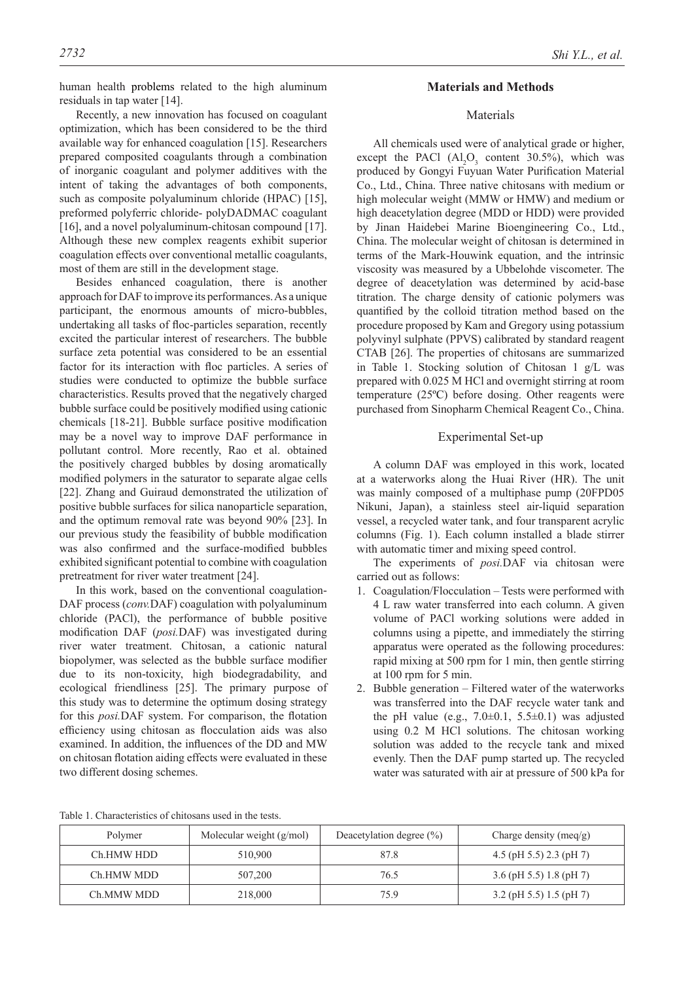Recently, a new innovation has focused on coagulant optimization, which has been considered to be the third available way for enhanced coagulation [15]. Researchers prepared composited coagulants through a combination of inorganic coagulant and polymer additives with the intent of taking the advantages of both components, such as composite polyaluminum chloride (HPAC) [15], preformed polyferric chloride- polyDADMAC coagulant [16], and a novel polyaluminum-chitosan compound [17]. Although these new complex reagents exhibit superior coagulation effects over conventional metallic coagulants, most of them are still in the development stage.

Besides enhanced coagulation, there is another approach for DAF to improve its performances. As a unique participant, the enormous amounts of micro-bubbles, undertaking all tasks of floc-particles separation, recently excited the particular interest of researchers. The bubble surface zeta potential was considered to be an essential factor for its interaction with floc particles. A series of studies were conducted to optimize the bubble surface characteristics. Results proved that the negatively charged bubble surface could be positively modified using cationic chemicals [18-21]. Bubble surface positive modification may be a novel way to improve DAF performance in pollutant control. More recently, Rao et al. obtained the positively charged bubbles by dosing aromatically modified polymers in the saturator to separate algae cells [22]. Zhang and Guiraud demonstrated the utilization of positive bubble surfaces for silica nanoparticle separation, and the optimum removal rate was beyond 90% [23]. In our previous study the feasibility of bubble modification was also confirmed and the surface-modified bubbles exhibited significant potential to combine with coagulation pretreatment for river water treatment [24].

In this work, based on the conventional coagulation-DAF process (*conv.*DAF) coagulation with polyaluminum chloride (PACl), the performance of bubble positive modification DAF (*posi.*DAF) was investigated during river water treatment. Chitosan, a cationic natural biopolymer, was selected as the bubble surface modifier due to its non-toxicity, high biodegradability, and ecological friendliness [25]. The primary purpose of this study was to determine the optimum dosing strategy for this *posi.*DAF system. For comparison, the flotation efficiency using chitosan as flocculation aids was also examined. In addition, the influences of the DD and MW on chitosan flotation aiding effects were evaluated in these two different dosing schemes.

# **Materials and Methods**

# Materials

All chemicals used were of analytical grade or higher, except the PACl  $(Al_2O_3 \text{ content } 30.5\%)$ , which was produced by Gongyi Fuyuan Water Purification Material Co., Ltd., China. Three native chitosans with medium or high molecular weight (MMW or HMW) and medium or high deacetylation degree (MDD or HDD) were provided by Jinan Haidebei Marine Bioengineering Co., Ltd., China. The molecular weight of chitosan is determined in terms of the Mark-Houwink equation, and the intrinsic viscosity was measured by a Ubbelohde viscometer. The degree of deacetylation was determined by acid-base titration. The charge density of cationic polymers was quantified by the colloid titration method based on the procedure proposed by Kam and Gregory using potassium polyvinyl sulphate (PPVS) calibrated by standard reagent CTAB [26]. The properties of chitosans are summarized in Table 1. Stocking solution of Chitosan 1 g/L was prepared with 0.025 M HCl and overnight stirring at room temperature (25ºC) before dosing. Other reagents were purchased from Sinopharm Chemical Reagent Co., China.

#### Experimental Set-up

A column DAF was employed in this work, located at a waterworks along the Huai River (HR). The unit was mainly composed of a multiphase pump (20FPD05 Nikuni, Japan), a stainless steel air-liquid separation vessel, a recycled water tank, and four transparent acrylic columns (Fig. 1). Each column installed a blade stirrer with automatic timer and mixing speed control.

The experiments of *posi.*DAF via chitosan were carried out as follows:

- 1. Coagulation/Flocculation Tests were performed with 4 L raw water transferred into each column. A given volume of PACl working solutions were added in columns using a pipette, and immediately the stirring apparatus were operated as the following procedures: rapid mixing at 500 rpm for 1 min, then gentle stirring at 100 rpm for 5 min.
- 2. Bubble generation Filtered water of the waterworks was transferred into the DAF recycle water tank and the pH value (e.g.,  $7.0\pm0.1$ ,  $5.5\pm0.1$ ) was adjusted using 0.2 M HCl solutions. The chitosan working solution was added to the recycle tank and mixed evenly. Then the DAF pump started up. The recycled water was saturated with air at pressure of 500 kPa for

Table 1. Characteristics of chitosans used in the tests.

| Polymer    | Molecular weight $(g/mol)$ | Deacetylation degree $(\% )$ | Charge density (meq/g)    |
|------------|----------------------------|------------------------------|---------------------------|
| Ch.HMW HDD | 510.900                    | 87.8                         | 4.5 (pH 5.5) 2.3 (pH 7)   |
| Ch.HMW MDD | 507,200                    | 76.5                         | 3.6 (pH 5.5) 1.8 (pH 7)   |
| Ch.MMW MDD | 218,000                    | 75.9                         | $3.2$ (pH 5.5) 1.5 (pH 7) |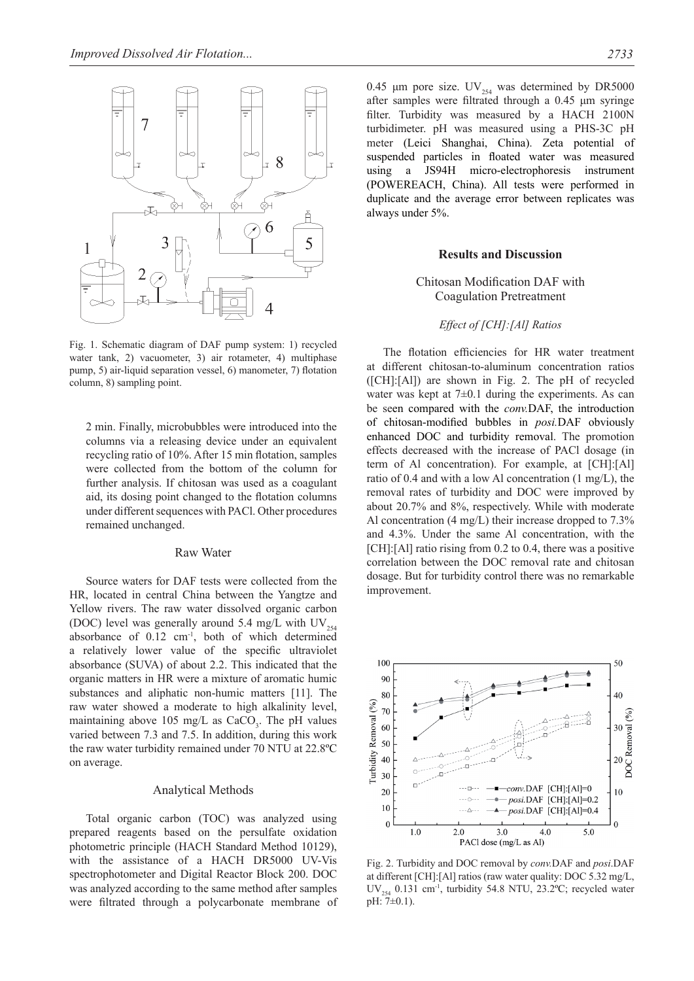

Fig. 1. Schematic diagram of DAF pump system: 1) recycled water tank, 2) vacuometer, 3) air rotameter, 4) multiphase pump, 5) air-liquid separation vessel, 6) manometer, 7) flotation column, 8) sampling point.

2 min. Finally, microbubbles were introduced into the columns via a releasing device under an equivalent recycling ratio of 10%. After 15 min flotation, samples were collected from the bottom of the column for further analysis. If chitosan was used as a coagulant aid, its dosing point changed to the flotation columns under different sequences with PACl. Other procedures remained unchanged.

#### Raw Water

Source waters for DAF tests were collected from the HR, located in central China between the Yangtze and Yellow rivers. The raw water dissolved organic carbon (DOC) level was generally around 5.4 mg/L with  $UV_{254}$ absorbance of  $0.12 \text{ cm}^{-1}$ , both of which determined a relatively lower value of the specific ultraviolet absorbance (SUVA) of about 2.2. This indicated that the organic matters in HR were a mixture of aromatic humic substances and aliphatic non-humic matters [11]. The raw water showed a moderate to high alkalinity level, maintaining above 105 mg/L as  $CaCO<sub>3</sub>$ . The pH values varied between 7.3 and 7.5. In addition, during this work the raw water turbidity remained under 70 NTU at 22.8ºC on average.

### Analytical Methods

Total organic carbon (TOC) was analyzed using prepared reagents based on the persulfate oxidation photometric principle (HACH Standard Method 10129), with the assistance of a HACH DR5000 UV-Vis spectrophotometer and Digital Reactor Block 200. DOC was analyzed according to the same method after samples were filtrated through a polycarbonate membrane of 0.45 μm pore size.  $UV_{254}$  was determined by DR5000 after samples were filtrated through a 0.45 μm syringe filter. Turbidity was measured by a HACH 2100N turbidimeter. pH was measured using a PHS-3C pH meter (Leici Shanghai, China). Zeta potential of suspended particles in floated water was measured using a JS94H micro-electrophoresis instrument (POWEREACH, China). All tests were performed in duplicate and the average error between replicates was always under 5%.

#### **Results and Discussion**

## Chitosan Modification DAF with Coagulation Pretreatment

#### *Effect of [CH]:[Al] Ratios*

The flotation efficiencies for HR water treatment at different chitosan-to-aluminum concentration ratios ([CH]:[Al]) are shown in Fig. 2. The pH of recycled water was kept at  $7\pm0.1$  during the experiments. As can be seen compared with the *conv.*DAF, the introduction of chitosan-modified bubbles in *posi.*DAF obviously enhanced DOC and turbidity removal. The promotion effects decreased with the increase of PACl dosage (in term of Al concentration). For example, at [CH]:[Al] ratio of 0.4 and with a low Al concentration (1 mg/L), the removal rates of turbidity and DOC were improved by about 20.7% and 8%, respectively. While with moderate Al concentration (4 mg/L) their increase dropped to 7.3% and 4.3%. Under the same Al concentration, with the [CH]:[Al] ratio rising from 0.2 to 0.4, there was a positive correlation between the DOC removal rate and chitosan dosage. But for turbidity control there was no remarkable improvement.



Fig. 2. Turbidity and DOC removal by *conv.*DAF and *posi*.DAF at different [CH]:[Al] ratios (raw water quality: DOC 5.32 mg/L, UV<sub>254</sub> 0.131 cm<sup>-1</sup>, turbidity 54.8 NTU, 23.2°C; recycled water pH: 7±0.1).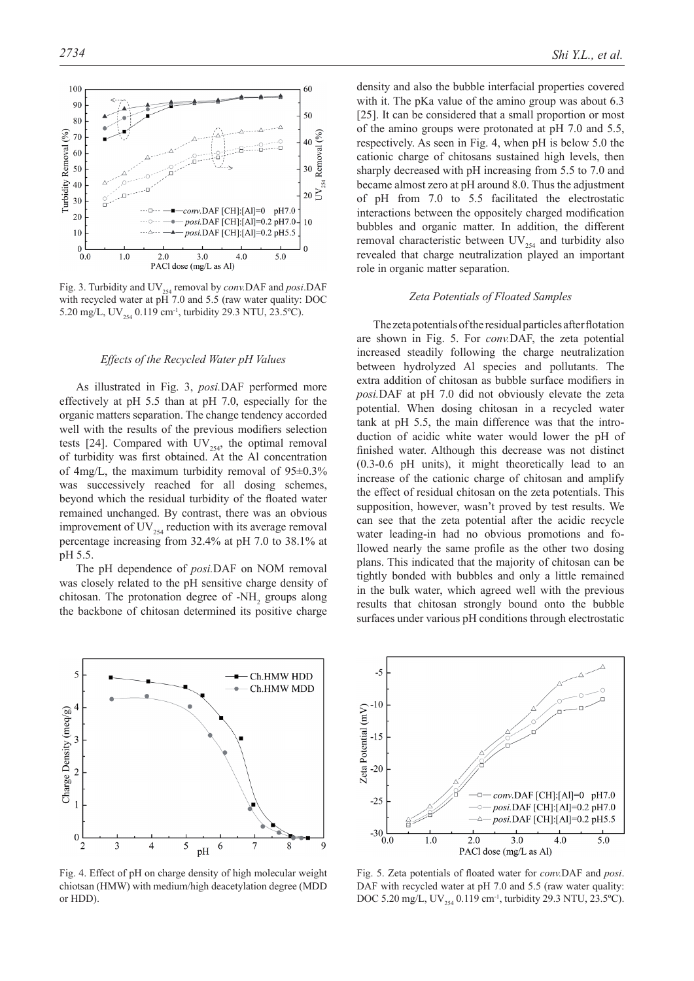

Fig. 3. Turbidity and UV<sub>254</sub> removal by *conv*.DAF and *posi*.DAF with recycled water at pH 7.0 and 5.5 (raw water quality: DOC 5.20 mg/L, UV<sub>254</sub> 0.119 cm<sup>-1</sup>, turbidity 29.3 NTU, 23.5°C).

## *Effects of the Recycled Water pH Values*

As illustrated in Fig. 3, *posi.*DAF performed more effectively at pH 5.5 than at pH 7.0, especially for the organic matters separation. The change tendency accorded well with the results of the previous modifiers selection tests [24]. Compared with  $UV_{254}$ , the optimal removal of turbidity was first obtained. At the Al concentration of 4mg/L, the maximum turbidity removal of  $95\pm0.3\%$ was successively reached for all dosing schemes, beyond which the residual turbidity of the floated water remained unchanged. By contrast, there was an obvious improvement of  $UV_{254}$  reduction with its average removal percentage increasing from 32.4% at pH 7.0 to 38.1% at pH 5.5.

The pH dependence of *posi.*DAF on NOM removal was closely related to the pH sensitive charge density of chitosan. The protonation degree of  $-NH_2$  groups along the backbone of chitosan determined its positive charge



Fig. 4. Effect of pH on charge density of high molecular weight chiotsan (HMW) with medium/high deacetylation degree (MDD or HDD).

density and also the bubble interfacial properties covered with it. The pKa value of the amino group was about 6.3 [25]. It can be considered that a small proportion or most of the amino groups were protonated at pH 7.0 and 5.5, respectively. As seen in Fig. 4, when pH is below 5.0 the cationic charge of chitosans sustained high levels, then sharply decreased with pH increasing from 5.5 to 7.0 and became almost zero at pH around 8.0. Thus the adjustment of pH from 7.0 to 5.5 facilitated the electrostatic interactions between the oppositely charged modification bubbles and organic matter. In addition, the different removal characteristic between  $UV_{254}$  and turbidity also revealed that charge neutralization played an important role in organic matter separation.

#### *Zeta Potentials of Floated Samples*

The zeta potentials of the residual particles after flotation are shown in Fig. 5. For *conv.*DAF, the zeta potential increased steadily following the charge neutralization between hydrolyzed Al species and pollutants. The extra addition of chitosan as bubble surface modifiers in *posi.*DAF at pH 7.0 did not obviously elevate the zeta potential. When dosing chitosan in a recycled water tank at pH 5.5, the main difference was that the introduction of acidic white water would lower the pH of finished water. Although this decrease was not distinct (0.3-0.6 pH units), it might theoretically lead to an increase of the cationic charge of chitosan and amplify the effect of residual chitosan on the zeta potentials. This supposition, however, wasn't proved by test results. We can see that the zeta potential after the acidic recycle water leading-in had no obvious promotions and followed nearly the same profile as the other two dosing plans. This indicated that the majority of chitosan can be tightly bonded with bubbles and only a little remained in the bulk water, which agreed well with the previous results that chitosan strongly bound onto the bubble surfaces under various pH conditions through electrostatic



Fig. 5. Zeta potentials of floated water for *conv.*DAF and *posi*. DAF with recycled water at pH 7.0 and 5.5 (raw water quality: DOC 5.20 mg/L, UV<sub>254</sub> 0.119 cm<sup>-1</sup>, turbidity 29.3 NTU, 23.5°C).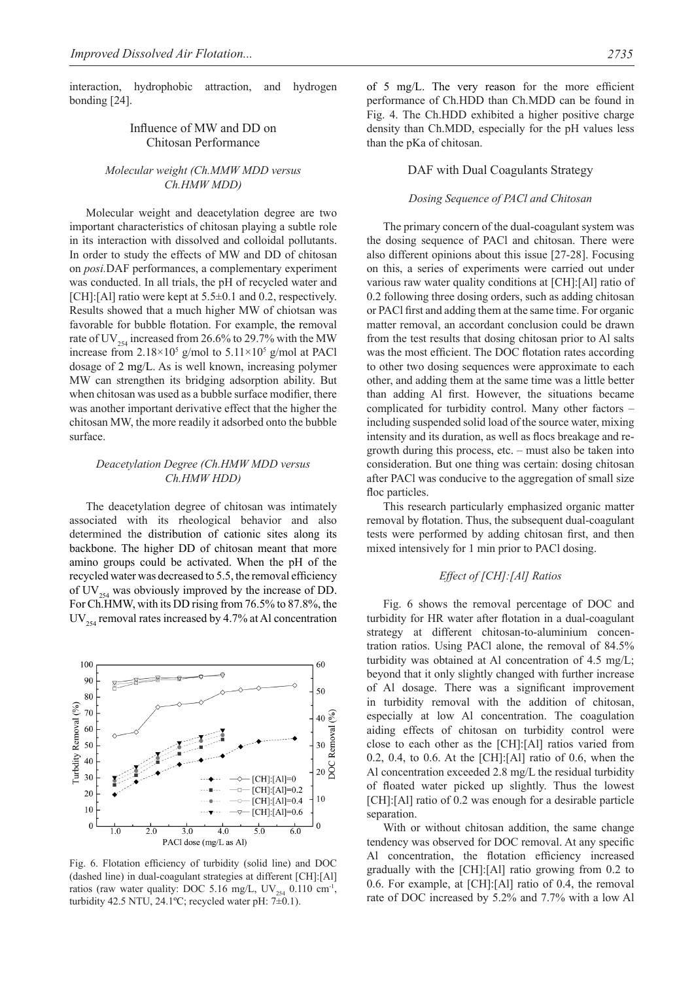interaction, hydrophobic attraction, and hydrogen bonding [24].

## Influence of MW and DD on Chitosan Performance

## *Molecular weight (Ch.MMW MDD versus Ch.HMW MDD)*

Molecular weight and deacetylation degree are two important characteristics of chitosan playing a subtle role in its interaction with dissolved and colloidal pollutants. In order to study the effects of MW and DD of chitosan on *posi.*DAF performances, a complementary experiment was conducted. In all trials, the pH of recycled water and [CH]:[Al] ratio were kept at 5.5±0.1 and 0.2, respectively. Results showed that a much higher MW of chiotsan was favorable for bubble flotation. For example, the removal rate of UV $_{254}$  increased from 26.6% to 29.7% with the MW increase from  $2.18 \times 10^5$  g/mol to  $5.11 \times 10^5$  g/mol at PACl dosage of 2 mg/L. As is well known, increasing polymer MW can strengthen its bridging adsorption ability. But when chitosan was used as a bubble surface modifier, there was another important derivative effect that the higher the chitosan MW, the more readily it adsorbed onto the bubble surface.

## *Deacetylation Degree (Ch.HMW MDD versus Ch.HMW HDD)*

The deacetylation degree of chitosan was intimately associated with its rheological behavior and also determined the distribution of cationic sites along its backbone. The higher DD of chitosan meant that more amino groups could be activated. When the pH of the recycled water was decreased to 5.5, the removal efficiency of UV $_{254}$  was obviously improved by the increase of DD. For Ch.HMW, with its DD rising from 76.5% to 87.8%, the  $UV_{354}$  removal rates increased by 4.7% at Al concentration



Fig. 6. Flotation efficiency of turbidity (solid line) and DOC (dashed line) in dual-coagulant strategies at different [CH]:[Al] ratios (raw water quality: DOC 5.16 mg/L,  $UV_{354}$  0.110 cm<sup>-1</sup>, turbidity 42.5 NTU, 24.1°C; recycled water pH:  $7\pm0.1$ ).

of 5 mg/L. The very reason for the more efficient performance of Ch.HDD than Ch.MDD can be found in Fig. 4. The Ch.HDD exhibited a higher positive charge density than Ch.MDD, especially for the pH values less than the pKa of chitosan.

# DAF with Dual Coagulants Strategy

#### *Dosing Sequence of PACl and Chitosan*

The primary concern of the dual-coagulant system was the dosing sequence of PACl and chitosan. There were also different opinions about this issue [27-28]. Focusing on this, a series of experiments were carried out under various raw water quality conditions at [CH]:[Al] ratio of 0.2 following three dosing orders, such as adding chitosan or PACl first and adding them at the same time. For organic matter removal, an accordant conclusion could be drawn from the test results that dosing chitosan prior to Al salts was the most efficient. The DOC flotation rates according to other two dosing sequences were approximate to each other, and adding them at the same time was a little better than adding Al first. However, the situations became complicated for turbidity control. Many other factors – including suspended solid load of the source water, mixing intensity and its duration, as well as flocs breakage and regrowth during this process, etc. – must also be taken into consideration. But one thing was certain: dosing chitosan after PACl was conducive to the aggregation of small size floc particles.

This research particularly emphasized organic matter removal by flotation. Thus, the subsequent dual-coagulant tests were performed by adding chitosan first, and then mixed intensively for 1 min prior to PACl dosing.

## *Effect of [CH]:[Al] Ratios*

Fig. 6 shows the removal percentage of DOC and turbidity for HR water after flotation in a dual-coagulant strategy at different chitosan-to-aluminium concentration ratios. Using PACl alone, the removal of 84.5% turbidity was obtained at Al concentration of 4.5 mg/L; beyond that it only slightly changed with further increase of Al dosage. There was a significant improvement in turbidity removal with the addition of chitosan, especially at low Al concentration. The coagulation aiding effects of chitosan on turbidity control were close to each other as the [CH]:[Al] ratios varied from 0.2, 0.4, to 0.6. At the [CH]:[Al] ratio of 0.6, when the Al concentration exceeded 2.8 mg/L the residual turbidity of floated water picked up slightly. Thus the lowest [CH]:[Al] ratio of 0.2 was enough for a desirable particle separation.

With or without chitosan addition, the same change tendency was observed for DOC removal. At any specific Al concentration, the flotation efficiency increased gradually with the [CH]:[Al] ratio growing from 0.2 to 0.6. For example, at [CH]:[Al] ratio of 0.4, the removal rate of DOC increased by 5.2% and 7.7% with a low Al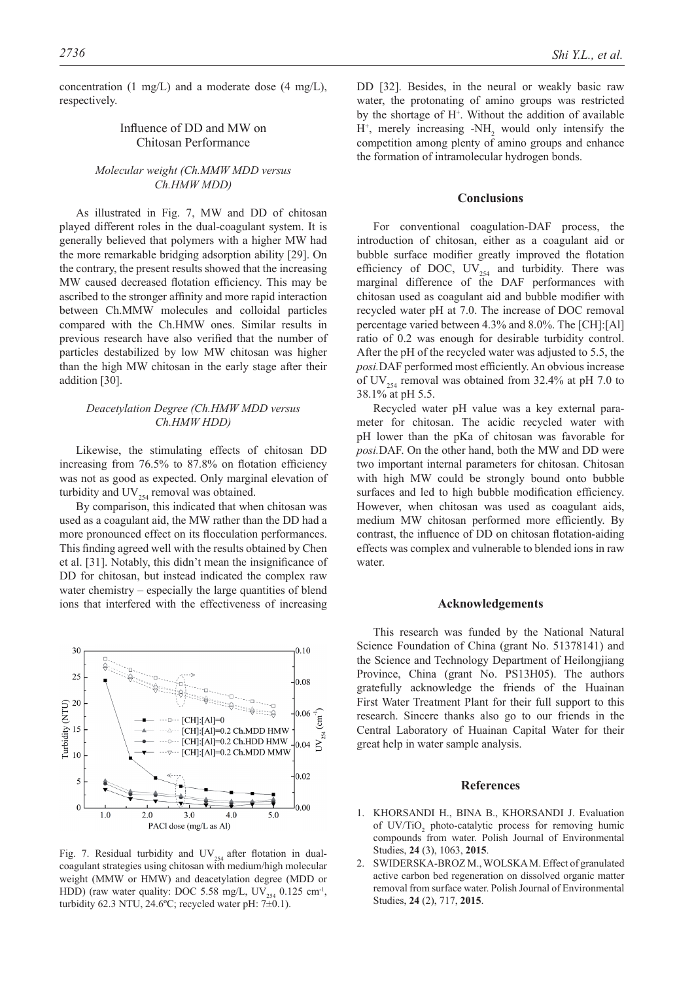concentration (1 mg/L) and a moderate dose (4 mg/L), respectively.

## Influence of DD and MW on Chitosan Performance

## *Molecular weight (Ch.MMW MDD versus Ch.HMW MDD)*

As illustrated in Fig. 7, MW and DD of chitosan played different roles in the dual-coagulant system. It is generally believed that polymers with a higher MW had the more remarkable bridging adsorption ability [29]. On the contrary, the present results showed that the increasing MW caused decreased flotation efficiency. This may be ascribed to the stronger affinity and more rapid interaction between Ch.MMW molecules and colloidal particles compared with the Ch.HMW ones. Similar results in previous research have also verified that the number of particles destabilized by low MW chitosan was higher than the high MW chitosan in the early stage after their addition [30].

## *Deacetylation Degree (Ch.HMW MDD versus Ch.HMW HDD)*

Likewise, the stimulating effects of chitosan DD increasing from 76.5% to 87.8% on flotation efficiency was not as good as expected. Only marginal elevation of turbidity and  $UV_{254}$  removal was obtained.

By comparison, this indicated that when chitosan was used as a coagulant aid, the MW rather than the DD had a more pronounced effect on its flocculation performances. This finding agreed well with the results obtained by Chen et al. [31]. Notably, this didn't mean the insignificance of DD for chitosan, but instead indicated the complex raw water chemistry – especially the large quantities of blend ions that interfered with the effectiveness of increasing



Fig. 7. Residual turbidity and  $UV_{254}$  after flotation in dualcoagulant strategies using chitosan with medium/high molecular weight (MMW or HMW) and deacetylation degree (MDD or HDD) (raw water quality: DOC 5.58 mg/L, UV<sub>254</sub> 0.125 cm<sup>-1</sup>, turbidity 62.3 NTU, 24.6 $^{\circ}$ C; recycled water pH: 7 $\pm$ 0.1).

DD [32]. Besides, in the neural or weakly basic raw water, the protonating of amino groups was restricted by the shortage of H+ . Without the addition of available  $H^+$ , merely increasing -NH<sub>2</sub> would only intensify the competition among plenty of amino groups and enhance the formation of intramolecular hydrogen bonds.

#### **Conclusions**

For conventional coagulation-DAF process, the introduction of chitosan, either as a coagulant aid or bubble surface modifier greatly improved the flotation efficiency of DOC,  $UV_{254}$  and turbidity. There was marginal difference of the DAF performances with chitosan used as coagulant aid and bubble modifier with recycled water pH at 7.0. The increase of DOC removal percentage varied between 4.3% and 8.0%. The [CH]:[Al] ratio of 0.2 was enough for desirable turbidity control. After the pH of the recycled water was adjusted to 5.5, the *posi.*DAF performed most efficiently. An obvious increase of UV<sub>254</sub> removal was obtained from 32.4% at pH 7.0 to 38.1% at pH 5.5.

Recycled water pH value was a key external parameter for chitosan. The acidic recycled water with pH lower than the pKa of chitosan was favorable for *posi.*DAF. On the other hand, both the MW and DD were two important internal parameters for chitosan. Chitosan with high MW could be strongly bound onto bubble surfaces and led to high bubble modification efficiency. However, when chitosan was used as coagulant aids, medium MW chitosan performed more efficiently. By contrast, the influence of DD on chitosan flotation-aiding effects was complex and vulnerable to blended ions in raw water.

#### **Acknowledgements**

This research was funded by the National Natural Science Foundation of China (grant No. 51378141) and the Science and Technology Department of Heilongjiang Province, China (grant No. PS13H05). The authors gratefully acknowledge the friends of the Huainan First Water Treatment Plant for their full support to this research. Sincere thanks also go to our friends in the Central Laboratory of Huainan Capital Water for their great help in water sample analysis.

#### **References**

- 1. KHORSANDI H., BINA B., KHORSANDI J. Evaluation of  $UV/TiO<sub>2</sub>$  photo-catalytic process for removing humic compounds from water. Polish Journal of Environmental Studies, **24** (3), 1063, **2015**.
- 2. SWIDERSKA-BROZ M., WOLSKA M. Effect of granulated active carbon bed regeneration on dissolved organic matter removal from surface water. Polish Journal of Environmental Studies, **24** (2), 717, **2015**.